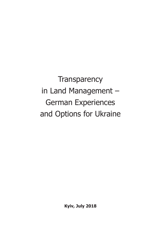**Transparency** in Land Management – German Experiences and Options for Ukraine

**Kyiv, July 2018**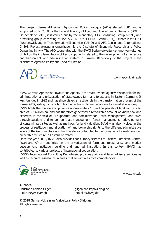The project German-Ukrainian Agricultural Policy Dialogue (APD) started 2006 and is supported up to 2018 by the Federal Ministry of Food and Agriculture of Germany (BMEL). On behalf of BMEL, it is carried out by the mandatary, GFA Consulting Group GmbH, and a working group consisting of IAK AGRAR CONSULTING GmbH (IAK), Leibniz-Institut für Agrarentwicklung in Transformationsökonomien (IAMO) and AFC Consultants International GmbH. Project executing organization is the Institute of Economic Research and Policy Consulting in Kyiv. The APD cooperates with the BVVG Bodenverwertungs- und- verwaltungs GmbH on the implementation of key components related to the development of an effective and transparent land administration system in Ukraine. Beneficiary of the project is the Ministry of Agrarian Policy and Food of Ukraine.

German-Ukrainian Sariaultural Policy Dialogue

www.apd-ukraine.de

BVVG German AgriForest Privatisation Agency is the state-owned agency responsible for the administration and privatisation of state-owned farm and forest land in Eastern Germany. It was founded in 1992 and has since played an active role in the transformation process of the former GDR, aiding its transition from a centrally planned economy to a market economy.

BVVG holds the mandate to privatise approximately 1.8 million parcels of land with a total area of 3.2 million ha, and has therefore generated a remarkable amount of know-how and expertise in the field of IT-supported land administration, lease management, land sales through auctions and tender, contract management, forest management, redevelopment of contaminated sites as well as methods for land valuation. BVVG was also involved in the process of restitution and allocation of land ownership rights to the different administrative levels of the German State and has therefore contributed to the formation of a well-balanced ownership structure in Eastern Germany.

Since the year 2000, BVVG also provides consultancy services to Eastern European, Central Asian and African countries on the privatisation of farm and forest land, land market development, institution building and land administration. In this context, BVVG has contributed to various projects of international cooperation.

BVVG's International Consulting Department provides policy and legal advisory services as well as technical assistance in areas that lie within its core competencies.



**BVVG** By vG<br>Bodenverwertungsund -verwaltungs  $GmhH$ 

www.bvvg.de

**Authors** Ulrike Meyer-Fyerloh

Christoph Konrad Gilgen gilgen.christoph@bvvg.de<br>
Ulrike Mever-Fverloh gilgen gilgen.christoph@bvvg.de

© 2018 German-Ukrainian Agricultural Policy Dialogue All rights reserved.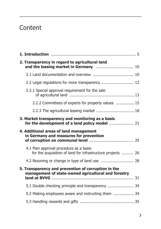## **Content**

| 2. Transparency in regard to agricultural land                                                             |  |
|------------------------------------------------------------------------------------------------------------|--|
|                                                                                                            |  |
| 2.2 Legal regulations for more transparency  12                                                            |  |
| 2.2.1 Special approval requirement for the sale                                                            |  |
| 2.2.2 Committees of experts for property values  15                                                        |  |
| 2.2.3 The agricultural leasing market  18                                                                  |  |
| 3. Market transparency and monitoring as a basis                                                           |  |
| 4. Additional areas of land management<br>in Germany and measures for prevention                           |  |
| 4.1 Plan approval procedure as a basis<br>for the acquisition of land for infrastructure projects  26      |  |
|                                                                                                            |  |
| 5. Transparency and prevention of corruption in the<br>management of state-owned agricultural and forestry |  |
| 5.1 Double checking principle and transparency  34                                                         |  |
| 5.2 Making employees aware and instructing them 34                                                         |  |
|                                                                                                            |  |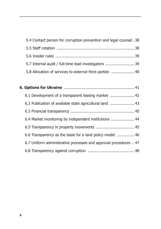| 5.4 Contact person for corruption prevention and legal counsel .38 |  |
|--------------------------------------------------------------------|--|
|                                                                    |  |
|                                                                    |  |
| 5.7 Internal audit / full-time lead investigators  39              |  |
| 5.8 Allocation of services to external third parties  40           |  |

| 6.1 Development of a transparent leasing market  42             |  |
|-----------------------------------------------------------------|--|
| 6.2 Publication of available state agricultural land  43        |  |
|                                                                 |  |
| 6.4 Market monitoring by independent institutions  44           |  |
|                                                                 |  |
| 6.6 Transparency as the basis for a land policy model  46       |  |
| 6.7 Uniform administrative processes and approval procedures 47 |  |
|                                                                 |  |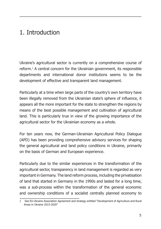## 1. Introduction

Ukraine's agricultural sector is currently on a comprehensive course of reform.1 A central concern for the Ukrainian government, its responsible departments and international donor institutions seems to be the development of effective and transparent land management.

Particularly at a time when large parts of the country's own territory have been illegally removed from the Ukrainian state's sphere of influence, it appears all the more important for the state to strengthen the regions by means of the best possible management and cultivation of agricultural land. This is particularly true in view of the growing importance of the agricultural sector for the Ukrainian economy as a whole.

For ten years now, the German-Ukrainian Agricultural Policy Dialogue (APD) has been providing comprehensive advisory services for shaping the general agricultural and land policy conditions in Ukraine, primarily on the basis of German and European experience.

Particularly due to the similar experiences in the transformation of the agricultural sector, transparency in land management is regarded as very important in Germany. The land reform process, including the privatisation of land that started in Germany in the 1990s and lasted for a long time, was a sub-process within the transformation of the general economic and ownership conditions of a socialist centrally planned economy to

<sup>1</sup> See EU-Ukraine Association Agreement and strategy entitled "Development of Agriculture and Rural Areas in Ukraine 2015-2020"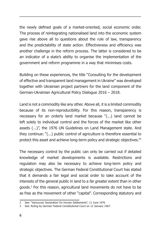the newly defined goals of a market-oriented, social economic order. The process of reintegrating nationalised land into the economic system gave rise above all to questions about the rule of law, transparency and the predictability of state action. Effectiveness and efficiency was another challenge in the reform process. The latter is considered to be an indicator of a state's ability to organise the implementation of the government and reform programme in a way that minimises costs.

Building on these experiences, the title "Consulting for the development of effective and transparent land management in Ukraine" was developed together with Ukrainian project partners for the land component of the German-Ukrainian Agricultural Policy Dialogue 2016 – 2018.

Land is not a commodity like any other. Above all, it is a limited commodity because of its non-reproducibility. For this reason, transparency is necessary for an orderly land market because "(...) land cannot be left solely to individual control and the forces of the market like other assets (...)", the 1976 UN Guidelines on Land Management state. And they continue: "(...) public control of agriculture is therefore essential to protect this asset and achieve long-term policy and strategic objectives."2

The necessary control by the public can only be carried out if detailed knowledge of market developments is available. Restrictions and regulation may also be necessary to achieve long-term policy and strategic objectives. The German Federal Constitutional Court has stated that it demands a fair legal and social order to take account of the interests of the general public in land to a far greater extent than in other goods.3 For this reason, agricultural land movements do not have to be as free as the movement of other "capital". Corresponding statutory and

<sup>2</sup> See: "Vancouver Declaration On Human Settlements", 11 June 1976

<sup>3</sup> See: Ruling by German Federal Constitutional Court on 12 January 1967.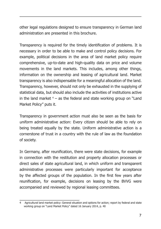other legal regulations designed to ensure transparency in German land administration are presented in this brochure.

Transparency is required for the timely identification of problems. It is necessary in order to be able to make and control policy decisions. For example, political decisions in the area of land market policy require comprehensive, up-to-date and high-quality data on price and volume movements in the land markets. This includes, among other things, information on the ownership and leasing of agricultural land. Market transparency is also indispensable for a meaningful allocation of the land. Transparency, however, should not only be exhausted in the supplying of statistical data, but should also include the activities of institutions active in the land market  $4$  – as the federal and state working group on "Land Market Policy" puts it.

Transparency in government action must also be seen as the basis for uniform administrative action: Every citizen should be able to rely on being treated equally by the state. Uniform administrative action is a cornerstone of trust in a country with the rule of law as the foundation of society.

In Germany, after reunification, there were state decisions, for example in connection with the restitution and property allocation processes or direct sales of state agricultural land, in which uniform and transparent administrative processes were particularly important for acceptance by the affected groups of the population. In the first few years after reunification, for example, decisions on leasing by the BVVG were accompanied and reviewed by regional leasing committees.

<sup>4</sup> Agricultural land market policy: General situation and options for action; report by federal and state working group on "Land Market Policy" dated 16 January 2014, p. 40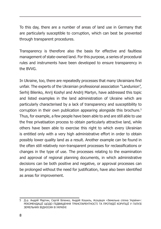To this day, there are a number of areas of land use in Germany that are particularly susceptible to corruption, which can best be prevented through transparent procedures.

Transparency is therefore also the basis for effective and faultless management of state-owned land. For this purpose, a series of procedural rules and instruments have been developed to ensure transparency in the BVVG.

In Ukraine, too, there are repeatedly processes that many Ukrainians find unfair. The experts of the Ukrainian professional association "Landunion", Serhij Bilenko, Anrij Koshyl and Andrij Martyn, have addressed this topic and listed examples in the land administration of Ukraine which are particularly characterised by a lack of transparency and susceptibility to corruption in their own publication appearing alongside this brochure.5 Thus, for example, a few people have been able to and are still able to use the free privatisation process to obtain particularly attractive land, while others have been able to exercise this right to which every Ukrainian is entitled only with a very high administrative effort in order to obtain possibly lower quality land as a result. Another example can be found in the often still relatively non-transparent processes for reclassifications or changes in the type of use. The processes relating to the examination and approval of regional planning documents, in which administrative decisions can be both positive and negative, or approval processes can be prolonged without the need for justification, have also been identified as areas for improvement.

<sup>5</sup> Д-р. Андрій Мартин, Сергій Біленко, Андрій Кошиль, Асоціація «Земельна спілка України»: РЕКОМЕНДАЦІЇ ЩОДО ПІДВИЩЕННЯ ТРАНСПАРЕНТНОСТІ ТА ПРОТИДІЇ КОРУПЦІЇ У ГАЛУЗІ ЗЕМЕЛЬНИХ ВІДНОСИН В УКРАЇНІ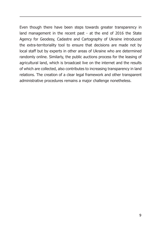Even though there have been steps towards greater transparency in land management in the recent past - at the end of 2016 the State Agency for Geodesy, Cadastre and Cartography of Ukraine introduced the extra-territoriality tool to ensure that decisions are made not by local staff but by experts in other areas of Ukraine who are determined randomly online. Similarly, the public auctions process for the leasing of agricultural land, which is broadcast live on the internet and the results of which are collected, also contributes to increasing transparency in land relations. The creation of a clear legal framework and other transparent administrative procedures remains a major challenge nonetheless.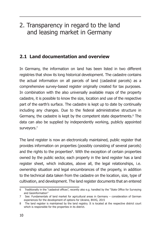### 2. Transparency in regard to the land and leasing market in Germany

#### **2.1 Land documentation and overview**

In Germany, the information on land has been listed in two different registries that show its long historical development. The cadastre contains the actual information on all parcels of land (cadastral parcels) as a comprehensive survey-based register originally created for tax purposes. In combination with the also universally available maps of the property cadastre, it is possible to know the size, location and use of the respective part of the earth's surface. The cadastre is kept up to date by continually including any changes. Due to the federal administrative structure in Germany, the cadastre is kept by the competent state departments.<sup>6</sup> The data can also be supplied by independently working, publicly appointed surveyors.<sup>7</sup>

The land register is now an electronically maintained, public register that provides information on properties (possibly consisting of several parcels) and the rights to the properties<sup>8</sup>. With the exception of certain properties owned by the public sector, each property in the land register has a land register sheet, which indicates, above all, the legal relationships, i.e. ownership situation and legal encumbrances of the property, in addition to the technical data taken from the cadastre on the location, size, type of cultivation, and development. The land register documents that an entered

<sup>6</sup> Traditionally in the "cadastral offices", recently also e.g. handled by the "State Office for Surveying and Geoinformation"

<sup>7</sup> See: Fundamentals of land market for agricultural areas in Germany – consideration of German experiences for the development of options for Ukraine, BVVG, 2015

<sup>8</sup> The land register is maintained by the land registry. It is located at the respective district court which is responsible for the properties in its district.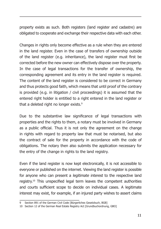property exists as such. Both registers (land register and cadastre) are obligated to cooperate and exchange their respective data with each other.

Changes in rights only become effective as a rule when they are entered in the land register. Even in the case of transfers of ownership outside of the land register (e.g. inheritance), the land register must first be corrected before the new owner can effectively dispose over the property. In the case of legal transactions for the transfer of ownership, the corresponding agreement and its entry in the land register is required. The content of the land register is considered to be correct in Germany and thus protects good faith, which means that until proof of the contrary is provided (e.g. in litigation / civil proceedings) it is assumed that the entered right holder is entitled to a right entered in the land register or that a deleted right no longer exists.<sup>9</sup>

Due to the substantive law significance of legal transactions with properties and the rights to them, a notary must be involved in Germany as a public official. Thus it is not only the agreement on the change in rights with regard to property law that must be notarised, but also the contract of sale for the property in accordance with the code of obligations. The notary then also submits the application necessary for the entry of the change in rights to the land registry.

Even if the land register is now kept electronically, it is not accessible to everyone or published on the internet. Viewing the land register is possible for anyone who can present a legitimate interest to the respective land registry.10 This unspecified legal term leaves the competent authorities and courts sufficient scope to decide on individual cases. A legitimate interest may exist, for example, if an injured party wishes to assert claims

<sup>9</sup> Section 891 of the German Civil Code [Bürgerliches Gesetzbuch, BGB]

<sup>10</sup> Section 12 of the German Real Estate Registry Act [Grundbuchordnung, GBO]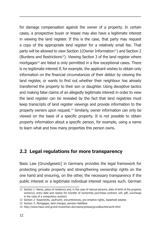for damage compensation against the owner of a property. In certain cases, a prospective buyer or lessee may also have a legitimate interest in viewing the land register. If this is the case, that party may request a copy of the appropriate land register for a relatively small fee. That party will be allowed to view Section 1 (Owner Information<sup>11</sup>) and Section 2 (Burdens and Restrictions<sup>12</sup>). Viewing Section 3 of the land register where mortgages<sup>13</sup> are listed is only permitted in a few exceptional cases. There is no legitimate interest if, for example, the applicant wishes to obtain only information on the financial circumstances of their debtor by viewing the land register, or wants to find out whether their neighbour has already transferred the property to their son or daughter. Using deceptive tactics and making false claims of an allegedly legitimate interest in order to view the land register can be revealed by the fact that land registries must keep transcripts of land register viewings and provide information to the property owners upon request.14 Similarly, owner information can only be viewed on the basis of a specific property. It is not possible to obtain property information about a specific person, for example, using a name to learn what and how many properties this person owns.

#### **2.2 Legal regulations for more transparency**

Basic Law [Grundgesetz] in Germany provides the legal framework for protecting private property and strengthening ownership rights on the one hand and ensuring, on the other, the necessary transparency if the public interest or a legitimate individual interest requires such. German

<sup>11</sup> Section 1: Name, place of residence and, in the case of natural persons, date of birth of the property owner(s); entry date and reason for transfer of ownership (purchase contract, will, gift, surcharge in the case of a compulsory auction)

<sup>12</sup> Section 2: Easements, usufrucht, encumbrances, pre-emptive rights, leasehold estates

<sup>13</sup> Section 3: Mortgages, land charges, pension liabilities

<sup>14</sup> http://www.haus-und-grund-muenchen.de/mainw/presse/grundbucheinsicht.html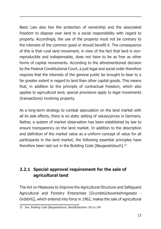Basic Law also ties the protection of ownership and the associated freedom to dispose over land to a social responsibility with regard to property. Accordingly, the use of the property must not be contrary to the interests of the common good or should benefit it. The consequence of this is that rural land movement, in view of the fact that land is nonreproducible and indispensable, does not have to be as free as other forms of capital movements. According to the aforementioned decision by the Federal Constitutional Court, a just legal and social order therefore requires that the interests of the general public be brought to bear to a far greater extent in regard to land than other capital goods. This means that, in addition to the principle of contractual freedom, which also applies to agricultural land, special provisions apply to legal movements (transactions) involving property.

As a long-term strategy to combat speculation on the land market with all its side effects, there is no static setting of values/prices in Germany. Rather, a system of market observation has been established by law to ensure transparency on the land market. In addition to the description and definition of the market value as a uniform concept of value for all participants in the land market, the following essential principles have therefore been laid out in the Building Code [Baugesetzbuch].<sup>15</sup>

#### **2.2.1 Special approval requirement for the sale of agricultural land**

The Act on Measures to Improve the Agricultural Structure and Safeguard Agricultural and Forestry Enterprises [Grundstücksverkehrsgesetz - GrdstVG], which entered into force in 1962, makes the sale of agricultural

<sup>15</sup> See: Building Code [Baugesetzbuch, BauGB]Sections 193 to 199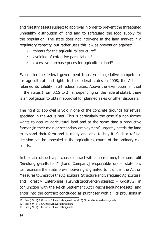and forestry assets subject to approval in order to prevent the threatened unhealthy distribution of land and to safeguard the food supply for the population. The state does not intervene in the land market in a regulatory capacity, but rather uses this law as prevention against:

- $a.$  threats for the agricultural structure<sup>16</sup>
- b. avoiding of extensive parcellation $17$
- c. excessive purchase prices for agricultural land<sup>18</sup>

Even after the federal government transferred legislative competence for agricultural land rights to the federal states in 2008, the Act has retained its validity in all federal states. Above the exemption limit set in the states (from 0.15 to 2 ha, depending on the federal state), there is an obligation to obtain approval for planned sales or other disposals.

The right to approval is void if one of the concrete grounds for refusal specified in the Act is met. This is particularly the case if a non-farmer wants to acquire agricultural land and at the same time a productive farmer (in their main or secondary employment) urgently needs the land to expand their farm and is ready and able to buy it. Such a refusal decision can be appealed in the agricultural courts of the ordinary civil courts.

In the case of such a purchase contract with a non-farmer, the non-profit "Siedlungsgesellschaft" [Land Company] responsible under state law can exercise the state pre-emptive right granted to it under the Act on Measures to Improve the Agricultural Structure and Safeguard Agricultural and Forestry Enterprises [Grundstücksverkehrsgesetz - GrdstVG] in conjunction with the Reich Settlement Act [Reichssiedlungsgesetz] and enter into the contract concluded as purchaser with all its provisions in

<sup>16</sup> See § 9 (1) 1 Grundstücksverkehrsgesetz and (2) Grundstücksverkehrsgesetz

<sup>17</sup> See § 9 (1) 2 Grundstücksverkehrsgesetz

<sup>18</sup> See § 9 (1) 3 Grundstücksverkehrsgesetz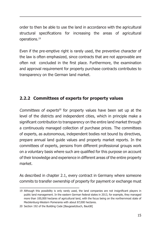order to then be able to use the land in accordance with the agricultural structural specifications for increasing the areas of agricultural operations.19

Even if the pre-emptive right is rarely used, the preventive character of the law is often emphasized, since contracts that are not approvable are often not concluded in the first place. Furthermore, the examination and approval requirement for property purchase contracts contributes to transparency on the German land market.

#### **2.2.2 Committees of experts for property values**

Committees of experts<sup>20</sup> for property values have been set up at the level of the districts and independent cities, which in principle make a significant contribution to transparency on the entire land market through a continuously managed collection of purchase prices. The committees of experts, as autonomous, independent bodies not bound by directives, prepare annual land guide values and property market reports. In the committees of experts, persons from different professional groups work on a voluntary basis where such are qualified for this purpose on account of their knowledge and experience in different areas of the entire property market.

As described in chapter 2.1, every contract in Germany where someone commits to transfer ownership of property for payment or exchange must

<sup>19</sup> Although this possibility is only rarely used, the land companies are not insignificant players in public land management. In the eastern German federal states in 2013, for example, they managed more than 100,000 hectares of agricultural land, with the focus being on the northernmost state of Mecklenburg-Western Pomerania with about 87,000 hectares.

<sup>20</sup> Section 192 of the Building Code [Baugesetzbuch, BauGB]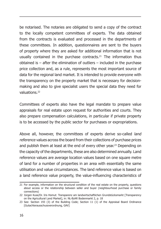be notarised. The notaries are obligated to send a copy of the contract to the locally competent committees of experts. The data obtained from the contracts is evaluated and processed in the departments of these committees. In addition, questionnaires are sent to the buyers of property where they are asked for additional information that is not usually contained in the purchase contracts.<sup>21</sup> The information thus obtained is – after the elimination of outliers – included in the purchase price collection and, as a rule, represents the most important source of data for the regional land market. It is intended to provide everyone with the transparency on the property market that is necessary for decisionmaking and also to give specialist users the special data they need for valuations<sup>22</sup>

Committees of experts also have the legal mandate to prepare value appraisals for real estate upon request for authorities and courts. They also prepare compensation calculations, in particular if private property is to be accessed by the public sector for purchases or expropriations.

Above all, however, the committees of experts derive so-called land reference values across the board from their collections of purchase prices and publish them at least at the end of every other year.<sup>23</sup> Depending on the capacity of the departments, these are also determined annually. Land reference values are average location values based on one square metre of land for a number of properties in an area with essentially the same utilisation and value circumstances. The land reference value is based on a land reference value property, the value-influencing characteristics of

<sup>21</sup> For example, information on the structural condition of the real estate on the property, questions about access or the relationship between seller and buyer (neighbourhood purchase or family connections)

<sup>22</sup> Jürgen Kuse/Dr. Iris Homut: Transparenz am landwirtschaftlichen Grundstücksmarkt [Transparency on the Agricultural Land Market], in: NL-BzAR Bodenmarkt 2, p. 18

<sup>23</sup> See: Section 193 (3) of the Building Code; Section 11 (1) of the Appraisal Board Ordinance [Gutachterausschussverordnung, GAV]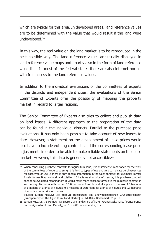which are typical for this area. In developed areas, land reference values are to be determined with the value that would result if the land were undeveloped.<sup>24</sup>

In this way, the real value on the land market is to be reproduced in the best possible way. The land reference values are usually displayed in land reference value maps and - partly also in the form of land reference value lists. In most of the federal states there are also internet portals with free access to the land reference values.

In addition to the individual evaluations of the committees of experts in the districts and independent cities, the evaluations of the Senior Committee of Experts offer the possibility of mapping the property market in regard to larger regions.

The Senior Committee of Experts also tries to collect and publish data on land leases. A different approach to the preparation of the data can be found in the individual districts. Parallel to the purchase price evaluations, it has only been possible to take account of new leases to date. However, a statement on the development of lease prices would also have to include existing contracts and the corresponding lease price adjustments in order to be able to make reliable statements on the lease market. However, this data is generally not accessible.<sup>25</sup>

<sup>24</sup> When concluding purchase contracts for agricultural land, it is of immense importance for the work of the committees of experts to assign this land to types of use and also to indicate purchase prices for each type of use. If there is only general information in the sales contract, for example: Farmer A sells farmer B agricultural land totalling 10 hectares at a price of x euros, this purchase contract cannot be evaluated meaningfully. It would make more sense to formulate the purchase contract in such a way: Farmer A sells farmer B 5.0 hectares of arable land at a price of x euros, 4.5 hectares of grassland at a price of x euros, 0.2 hectares of water land for a price of x euros and 0.3 hectares of woodland at a price of x euros.

Source: Jürgen Kuse/Dr. Iris Homut: Transparenz am landwirtschaftlichen Grundstücksmarkt [Transparency on the Agricultural Land Market], in: NL-BzAR Bodenmarkt 2, p. 19

<sup>25</sup> Jürgen Kuse/Dr. Iris Homut: Transparenz am landwirtschaftlichen Grundstücksmarkt [Transparency on the Agricultural Land Market], in: NL-BzAR Bodenmarkt 2, p. 21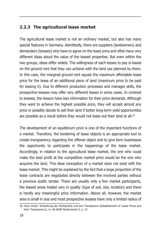#### **2.2.3 The agricultural lease market**

The agricultural lease market is not an ordinary market, but also has many special features in Germany. Admittedly, there are suppliers (landowners) and demanders (lessees) who have to agree on the lease price and often have very different ideas about the value of the leased properties. But even within the two groups, ideas differ widely. The willingness of each lessee to pay is based on the ground rent that they can achieve with the land use planned by them. In this case, the marginal ground rent equals the maximum affordable lease price for the lease of an additional piece of land (maximum price to be paid for leasing it). Due to different production processes and manager skills, the prospective lessees may offer very different leases in some cases. In contrast to lessees, the lessors have less information for their price demands. Although they want to achieve the highest possible price, they will accept almost any price or possibly decide to sell their land if better long-term yield opportunities are possible as a result before they would not lease out their land at all.<sup>26</sup>

The development of an equilibrium price is one of the important functions of a market. Therefore, the tendering of lease objects is an appropriate tool to create transparency regarding the offered object and to give farm businesses the opportunity to participate in the happenings of the lease market. Accordingly, in relation to the agricultural lease market, the one who could make the best profit at the competitive market price would be the one who acquires the land. This ideal conception of a market does not exist with the lease market. This might be explained by the fact that a large proportion of the lease contracts are negotiated directly between the involved parties without a previous public tender. There are usually only a few market participants, the leased areas traded vary in quality (type of soil, size, location) and there is hardly any meaningful price information. Above all, however, the market area is small in size and most prospective lessees have only a limited radius of

<sup>26</sup> Hans Dreier: Entstehung der Pachtpreise und ihre Transparenz [Establishment of Lease Prices and their Transparency], in: NL-BzAR Bodenmarkt 5, p. 12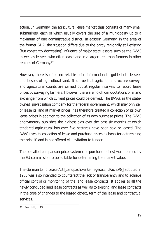action. In Germany, the agricultural lease market thus consists of many small submarkets, each of which usually covers the size of a municipality up to a maximum of one administrative district. In eastern Germany, in the area of the former GDR, the situation differs due to the partly regionally still existing (but constantly decreasing) influence of major state lessors such as the BVVG as well as lessees who often lease land in a larger area than farmers in other regions of Germany.27

However, there is often no reliable price information to guide both lessees and lessors of agricultural land. It is true that agricultural structure surveys and agricultural counts are carried out at regular intervals to record lease prices by surveying farmers. However, there are no official quotations or a land exchange from which current prices could be derived. The BVVG, as the stateowned privatisation company for the federal government, which may only sell or lease its land at market prices, has therefore created a collection of its own lease prices in addition to the collection of its own purchase prices. The BVVG anonymously publishes the highest bids over the past six months at which tendered agricultural lots over five hectares have been sold or leased. The BVVG uses its collection of lease and purchase prices as basis for determining the price if land is not offered via invitation to tender.

The so-called comparison price system (for purchase prices) was deemed by the EU commission to be suitable for determining the market value.

The German Land Lease Act [Landpachtverkehrsgesetz, LPachtVG] adopted in 1985 was also intended to counteract the lack of transparency and to achieve official control or monitoring of the land lease contracts. It applies to all the newly concluded land lease contracts as well as to existing land lease contracts in the case of changes to the leased object, term of the lease and contractual services.

<sup>27</sup> See: ibid, p. 13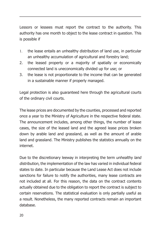Lessors or lessees must report the contract to the authority. This authority has one month to object to the lease contract in question. This is possible if

- 1. the lease entails an unhealthy distribution of land use, in particular an unhealthy accumulation of agricultural and forestry land;
- 2. the leased property or a majority of spatially or economically connected land is uneconomically divided up for use; or
- 3. the lease is not proportionate to the income that can be generated in a sustainable manner if properly managed.

Legal protection is also guaranteed here through the agricultural courts of the ordinary civil courts.

The lease prices are documented by the counties, processed and reported once a year to the Ministry of Agriculture in the respective federal state. The announcement includes, among other things, the number of lease cases, the size of the leased land and the agreed lease prices broken down by arable land and grassland, as well as the amount of arable land and grassland. The Ministry publishes the statistics annually on the internet.

Due to the discretionary leeway in interpreting the term unhealthy land distribution, the implementation of the law has varied in individual federal states to date. In particular because the Land Lease Act does not include sanctions for failure to notify the authorities, many lease contracts are not included at all. For this reason, the data on the contract contents actually obtained due to the obligation to report the contract is subject to certain reservations. The statistical evaluation is only partially useful as a result. Nonetheless, the many reported contracts remain an important database.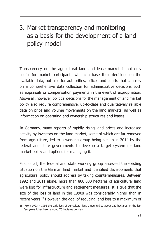# 3. Market transparency and monitoring as a basis for the development of a land policy model

Transparency on the agricultural land and lease market is not only useful for market participants who can base their decisions on the available data, but also for authorities, offices and courts that can rely on a comprehensive data collection for administrative decisions such as appraisals or compensation payments in the event of expropriation. Above all, however, political decisions for the management of land market policy also require comprehensive, up-to-date and qualitatively reliable data on price and volume movements on the land markets, as well as information on operating and ownership structures and leases.

In Germany, many reports of rapidly rising land prices and increased activity by investors on the land market, some of which are far removed from agriculture, led to a working group being set up in 2014 by the federal and state governments to develop a target system for land market policy and options for managing it.

First of all, the federal and state working group assessed the existing situation on the German land market and identified developments that agricultural policy should address by taking countermeasures. Between 1992 and 2011 alone, more than 800,000 hectares of agricultural land were lost for infrastructure and settlement measures. It is true that the size of the loss of land in the 1990s was considerably higher than in recent years.28 However, the goal of reducing land loss to a maximum of

<sup>28</sup> From 1993 – 1996 the daily loss of agricultural land amounted to about 120 hectares; in the last few years it has been around 70 hectares per day.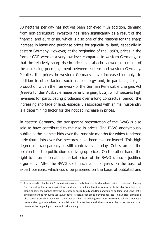30 hectares per day has not yet been achieved.<sup>29</sup> In addition, demand from non-agricultural investors has risen significantly as a result of the financial and euro crisis, which is also one of the reasons for the sharp increase in lease and purchase prices for agricultural land, especially in eastern Germany. However, at the beginning of the 1990s, prices in the former GDR were at a very low level compared to western Germany, so that the relatively sharp rise in prices can also be viewed as a result of the increasing price alignment between eastern and western Germany. Parallel, the prices in western Germany have increased notably. In addition to other factors such as bioenergy and, in particular, biogas production within the framework of the German Renewable Energies Act [Gesetz für den Ausbau erneuerbarer Energien, EEG], which secures high revenues for participating producers over a long contractual period, the increasing shortage of land, especially associated with animal husbandry is a determining factor for the noticed increase in prices.

In eastern Germany, the transparent presentation of the BVVG is also said to have contributed to the rise in prices. The BVVG anonymously publishes the highest bids over the past six months for which tendered agricultural lots over five hectares have been sold or leased. This high degree of transparency is still controversial today. Critics are of the opinion that the publication is driving up prices. On the other hand, the right to information about market prices of the BVVG is also a justified argument. After the BVVG sold much land for years on the basis of expert opinions, which could be prepared on the basis of outdated and

<sup>29</sup> As described in chapter 2.2.1, municipalities often make targeted land purchases prior to their own planning (for converting them from agricultural land, e.g., to building land), also in order to be able to achieve the planning gains themselves after the purchase as agriculturally used land and sale as building land. Land that is bindingly planned for public use (e.g. schools, streets, green areas, playgrounds, etc.) in municipal planning is also regularly bought in advance. If this is not possible, the building code grants the municipalities a municipal pre-emptive right to purchase these public areas in accordance with the statutes at the prices that are based on use at the beginning of the municipal planning.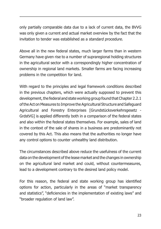only partially comparable data due to a lack of current data, the BVVG was only given a current and actual market overview by the fact that the invitation to tender was established as a standard procedure.

Above all in the new federal states, much larger farms than in western Germany have given rise to a number of supraregional holding structures in the agricultural sector with a correspondingly higher concentration of ownership in regional land markets. Smaller farms are facing increasing problems in the competition for land.

With regard to the principles and legal framework conditions described in the previous chapters, which were actually supposed to prevent this development, the federal and state working group found that Chapter 2.2.1 of the Act on Measures to Improve the Agricultural Structure and Safeguard Agricultural and Forestry Enterprises [Grundstücksverkehrsgesetz - GrdstVG] is applied differently both in a comparison of the federal states and also within the federal states themselves. For example, sales of land in the context of the sale of shares in a business are predominantly not covered by this Act. This also means that the authorities no longer have any control options to counter unhealthy land distribution.

The circumstances described above reduce the usefulness of the current data on the development of the lease market and the changes in ownership on the agricultural land market and could, without countermeasures, lead to a development contrary to the desired land policy model.

For this reason, the federal and state working group has identified options for action, particularly in the areas of "market transparency and statistics", "deficiencies in the implementation of existing laws" and "broader regulation of land law".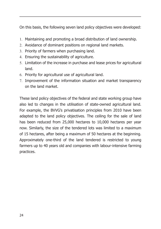On this basis, the following seven land policy objectives were developed:

- 1. Maintaining and promoting a broad distribution of land ownership.
- 2. Avoidance of dominant positions on regional land markets.
- 3. Priority of farmers when purchasing land.
- 4. Ensuring the sustainability of agriculture.
- 5. Limitation of the increase in purchase and lease prices for agricultural land.
- 6. Priority for agricultural use of agricultural land.
- 7. Improvement of the information situation and market transparency on the land market.

These land policy objectives of the federal and state working group have also led to changes in the utilisation of state-owned agricultural land. For example, the BVVG's privatisation principles from 2010 have been adapted to the land policy objectives. The ceiling for the sale of land has been reduced from 25,000 hectares to 10,000 hectares per year now. Similarly, the size of the tendered lots was limited to a maximum of 15 hectares, after being a maximum of 50 hectares at the beginning. Approximately one-third of the land tendered is restricted to young farmers up to 40 years old and companies with labour-intensive farming practices.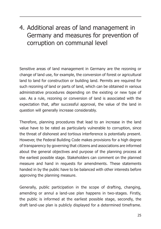## 4. Additional areas of land management in Germany and measures for prevention of corruption on communal level

Sensitive areas of land management in Germany are the rezoning or change of land use, for example, the conversion of forest or agricultural land to land for construction or building land. Permits are required for such rezoning of land or parts of land, which can be obtained in various administrative procedures depending on the existing or new type of use. As a rule, rezoning or conversion of land is associated with the expectation that, after successful approval, the value of the land in question will generally increase considerably.

Therefore, planning procedures that lead to an increase in the land value have to be rated as particularly vulnerable to corruption, since the threat of dishonest and tortious interference is potentially present. However, the Federal Building Code makes provisions for a high degree of transparency by governing that citizens and associations are informed about the general objectives and purpose of the planning process at the earliest possible stage. Stakeholders can comment on the planned measure and hand in requests for amendments. These statements handed in by the public have to be balanced with other interests before approving the planning measure.

Generally, public participation in the scope of drafting, changing, amending or annul a land-use plan happens in two-stages. Firstly, the public is informed at the earliest possible stage, secondly, the draft land-use plan is publicly displayed for a determined timeframe.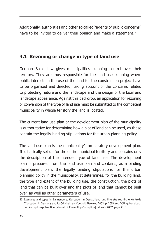Additionally, authorities and other so called "agents of public concerns" have to be invited to deliver their opinion and make a statement.<sup>30</sup>

### **4.1 Rezoning or change in type of land use**

German Basic Law gives municipalities planning control over their territory. They are thus responsible for the land use planning where public interests in the use of the land for the construction project have to be organised and directed, taking account of the concerns related to protecting nature and the landscape and the design of the local and landscape appearance. Against this backdrop, an application for rezoning or conversion of the type of land use must be submitted to the competent municipality in whose territory the land is located.

The current land use plan or the development plan of the municipality is authoritative for determining how a plot of land can be used, as these contain the legally binding stipulations for the urban planning policy.

The land use plan is the municipality's preparatory development plan. It is basically set up for the entire municipal territory and contains only the description of the intended type of land use. The development plan is prepared from the land use plan and contains, as a binding development plan, the legally binding stipulations for the urban planning policy in the municipality. It determines, for the building land, the type and extent of the building use, the construction, the plots of land that can be built over and the plots of land that cannot be built over, as well as other parameters of use.

<sup>30</sup> Examples and types in Bannenberg, Korruption in Deutschland und ihre strafrechtliche Kontrolle [Corruption in Germany and its Criminal Law Control], Neuwied 2002, p. 205 f and Dölling, Handbuch der Korruptionsprävention [Manual of Preventing Corruption], Munich 2007, page 21 f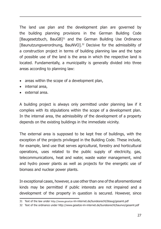The land use plan and the development plan are governed by the building planning provisions in the German Building Code [Baugesetzbuch, BauGB]31 and the German Building Use Ordinance [Baunutzungsverordnung, BauNVO].32 Decisive for the admissibility of a construction project in terms of building planning law and the type of possible use of the land is the area in which the respective land is located. Fundamentally, a municipality is generally divided into three areas according to planning law:

- areas within the scope of a development plan,
- internal area,
- • external area.

A building project is always only permitted under planning law if it complies with its stipulations within the scope of a development plan. In the internal area, the admissibility of the development of a property depends on the existing buildings in the immediate vicinity.

The external area is supposed to be kept free of buildings, with the exception of the projects privileged in the Building Code. These include, for example, land use that serves agricultural, forestry and horticultural operations, uses related to the public supply of electricity, gas, telecommunications, heat and water, waste water management, wind and hydro power plants as well as projects for the energetic use of biomass and nuclear power plants.

In exceptional cases, however, a use other than one of the aforementioned kinds may be permitted if public interests are not impaired and a development of the property in question is secured. However, since

<sup>31</sup> Text of the law under http://www.gesetze-im-internet.de/bundesrecht/bbaug/gesamt.pdf

<sup>32</sup> Text of the ordinance under http://www.gesetze-im-internet.de/bundesrecht/baunvo/gesamt.pdf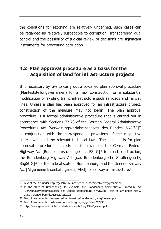the conditions for rezoning are relatively undefined, such cases can be regarded as relatively susceptible to corruption. Transparency, dual control and the possibility of judicial review of decisions are significant instruments for preventing corruption.

#### **4.2 Plan approval procedure as a basis for the acquisition of land for infrastructure projects**

It is necessary by law to carry out a so-called plan approval procedure (Planfeststellungsverfahren) for a new construction or a substantial modification of existing traffic infrastructure such as roads and railway lines. Unless a plan has been approved for an infrastructure project, construction of the measure may not begin. The plan approval procedure is a formal administrative procedure that is carried out in accordance with Sections 72-78 of the German Federal Administrative Procedures Act [Verwaltungsverfahrensgesetz des Bundes, VwVfG]<sup>33</sup> in conjunction with the corresponding provisions of the respective state laws<sup>34</sup> and the relevant technical laws. The legal basis for plan approval procedures consists of, for example, the German Federal Highway Act [Bundesfernstraßengesetz, FStrG]<sup>35</sup> for road construction, the Brandenburg Highway Act [das Brandenburgische Straßengesetz, BbgStrG<sup>36</sup> for the federal state of Brandenburg, and the General Railway Act [Allgemeine Eisenbahngesetz, AEG] for railway infrastructure.<sup>37</sup>

<sup>33</sup> Text of the law under http://gesetze-im-internet.de/bundesrecht/vwvfg/gesamt.pdf

<sup>34</sup> In the state of Brandenburg, for example, the Brandenburg Administrative Procedure Act [Verwaltungsverfahrensgesetz des Landes Brandenburg, VwVfGBbg], text of law under http:// bravos.brandenburg.de/gesetze-212926

<sup>35</sup> Text of law under http://gesetze-im-internet.de/bundesrecht/fstrg/gesamt.pdf

<sup>36</sup> Text of law under http://bravos.brandenburg.de/de/gesetze-212995

<sup>37</sup> http://www.gesetze-im-internet.de/bundesrecht/aeg 1994/gesamt.pdf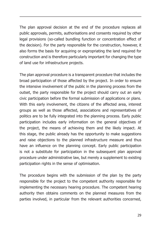The plan approval decision at the end of the procedure replaces all public approvals, permits, authorisations and consents required by other legal provisions (so-called bundling function or concentration effect of the decision). For the party responsible for the construction, however, it also forms the basis for acquiring or expropriating the land required for construction and is therefore particularly important for changing the type of land use for infrastructure projects.

The plan approval procedure is a transparent procedure that includes the broad participation of those affected by the project. In order to ensure the intensive involvement of the public in the planning process from the outset, the party responsible for the project should carry out an early civic participation before the formal submission of applications or plans. With this early involvement, the citizens of the affected area, interest groups as well as those affected, associations and representatives of politics are to be fully integrated into the planning process. Early public participation includes early information on the general objectives of the project, the means of achieving them and the likely impact. At this stage, the public already has the opportunity to make suggestions and raise objections to the planned infrastructure measure and thus have an influence on the planning concept. Early public participation is not a substitute for participation in the subsequent plan approval procedure under administrative law, but merely a supplement to existing participation rights in the sense of optimisation.

The procedure begins with the submission of the plan by the party responsible for the project to the competent authority responsible for implementing the necessary hearing procedure. The competent hearing authority then obtains comments on the planned measures from the parties involved, in particular from the relevant authorities concerned,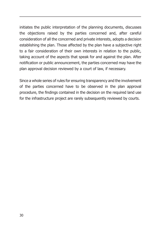initiates the public interpretation of the planning documents, discusses the objections raised by the parties concerned and, after careful consideration of all the concerned and private interests, adopts a decision establishing the plan. Those affected by the plan have a subjective right to a fair consideration of their own interests in relation to the public, taking account of the aspects that speak for and against the plan. After notification or public announcement, the parties concerned may have the plan approval decision reviewed by a court of law, if necessary.

Since a whole series of rules for ensuring transparency and the involvement of the parties concerned have to be observed in the plan approval procedure, the findings contained in the decision on the required land use for the infrastructure project are rarely subsequently reviewed by courts.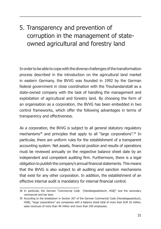# 5. Transparency and prevention of corruption in the management of stateowned agricultural and forestry land

In order to be able to cope with the diverse challenges of the transformation process described in the introduction on the agricultural land market in eastern Germany, the BVVG was founded in 1992 by the German federal government in close coordination with the Treuhandanstalt as a state-owned company with the task of handling the management and exploitation of agricultural and forestry land. By choosing the form of an organisation as a corporation, the BVVG has been embedded in two control frameworks, which offer the following advantages in terms of transparency and effectiveness.

As a corporation, the BVVG is subject to all general statutory regulatory mechanisms<sup>38</sup> and principles that apply to all "large corporations".<sup>39</sup> In particular, there are uniform rules for the establishment of a transparent accounting system. Net assets, financial position and results of operations must be reviewed annually on the respective balance sheet date by an independent and competent auditing firm. Furthermore, there is a legal obligation to publish the company's annual financial statements. This means that the BVVG is also subject to all auditing and sanction mechanisms that exist for any other corporation. In addition, the establishment of an effective internal audit is mandatory for internal financial control.

<sup>38</sup> In particular, the German "Commercial Code [Handelsgesetzbuch, HGB]" and the secondary commercial and tax laws.

<sup>39</sup> According to the breakdown in Section 267 of the German Commercial Code [Handelsgesetzbuch, HGB], "large corporations" are companies with a balance sheet total of more than EUR 20 million, sales revenues of more than 40 million and more than 250 employees.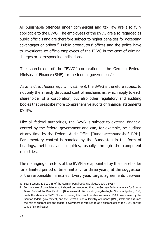All punishable offences under commercial and tax law are also fully applicable to the BVVG. The employees of the BVVG are also regarded as public officials and are therefore subject to higher penalties for accepting advantages or bribes.40 Public prosecutors' offices and the police have to investigate ex officio employees of the BVVG in the case of criminal charges or corresponding indications.

The shareholder of the "BVVG" corporation is the German Federal Ministry of Finance (BMF) for the federal government.<sup>41</sup>

As an indirect federal equity investment, the BVVG is therefore subject to not only the already discussed control mechanisms, which apply to each shareholder of a corporation, but also other regulatory and auditing bodies that prescribe more comprehensive audits of financial statements by law.

Like all federal authorities, the BVVG is subject to external financial control by the federal government and can, for example, be audited at any time by the Federal Audit Office [Bundesrechnungshof, BRH]. Parliamentary control is handled by the Bundestag in the form of hearings, petitions and inquiries, usually through the competent ministries.

The managing directors of the BVVG are appointed by the shareholder for a limited period of time, initially for three years, at the suggestion of the responsible ministries. Every year, target agreements between

<sup>40</sup> See: Sections 331 to 338 of the German Penal Code (Strafgesetzbuch, StGB)

<sup>41</sup> For the sake of completeness, it should be mentioned that the German Federal Agency for Special Tasks Related to Reunification [Bundesanstalt für vereinigungsbedingte Sonderaufgaben, BvS] holds the shares in BVVG. Since, however, this structure also involves a 100% investment by the German federal government, and the German Federal Ministry of Finance [BMF] itself also assumes the role of shareholder, the federal government is referred to as a shareholder of the BVVG for the sake of simplification.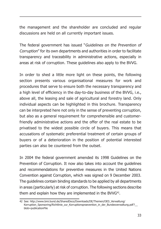the management and the shareholder are concluded and regular discussions are held on all currently important issues.

The federal government has issued "Guidelines on the Prevention of Corruption" for its own departments and authorities in order to facilitate transparency and traceability in administrative actions, especially in areas at risk of corruption. These guidelines also apply to the BVVG.

In order to shed a little more light on these points, the following section presents various organisational measures for work and procedures that serve to ensure both the necessary transparency and a high level of efficiency in the day-to-day business of the BVVG, i.e., above all, the leasing and sale of agricultural and forestry land. Only individual aspects can be highlighted in this brochure. Transparency can be interpreted here not only in the sense of preventing corruption, but also as a general requirement for comprehensible and customerfriendly administrative actions and the offer of the real estate to be privatised to the widest possible circle of buyers. This means that accusations of systematic preferential treatment of certain groups of buyers or of a deterioration in the position of potential interested parties can also be countered from the outset.

In 2004 the federal government amended its 1998 Guidelines on the Prevention of Corruption. It now also takes into account the guidelines and recommendations for preventive measures in the United Nations Convention against Corruption, which was signed on 9 December 2003. The guidelines contain binding standards to be applied by all departments in areas (particularly) at risk of corruption. The following sections describe them and explain how they are implemented in the BVVG<sup>42</sup>.

<sup>42</sup> See: http://www.bmi.bund.de/SharedDocs/Downloads/DE/Themen/OED\_Verwaltung/ Korruption\_Sponsoring/Richtlinie\_zur\_Korruptionspraevention\_in\_der\_Bundesverwaltung.pdf? blob=publicationFile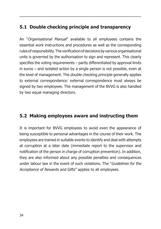### **5.1 Double checking principle and transparency**

An "Organisational Manual" available to all employees contains the essential work instructions and procedures as well as the corresponding rules of responsibility. The verification of decisions by various organisational units is governed by the authorisation to sign and represent. This clearly specifies the voting requirements – partly differentiated by approval limits in euros – and isolated action by a single person is not possible, even at the level of management. The double checking principle generally applies to external correspondence: external correspondence must always be signed by two employees. The management of the BVVG is also handled by two equal managing directors.

#### **5.2 Making employees aware and instructing them**

It is important for BVVG employees to avoid even the appearance of being susceptible to personal advantages in the course of their work. The employees are trained in suitable events to identify and deal with attempts at corruption at a later date (immediate report to the supervisor and notification of the person in charge of corruption prevention). In addition, they are also informed about any possible penalties and consequences under labour law in the event of such violations. The "Guidelines for the Acceptance of Rewards and Gifts" applies to all employees.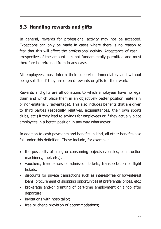### **5.3 Handling rewards and gifts**

In general, rewards for professional activity may not be accepted. Exceptions can only be made in cases where there is no reason to fear that this will affect the professional activity. Acceptance of cash – irrespective of the amount  $-$  is not fundamentally permitted and must therefore be refrained from in any case.

All employees must inform their supervisor immediately and without being solicited if they are offered rewards or gifts for their work.

Rewards and gifts are all donations to which employees have no legal claim and which place them in an objectively better position materially or non-materially (advantage). This also includes benefits that are given to third parties (especially relatives, acquaintances, their own sports clubs, etc.) if they lead to savings for employees or if they actually place employees in a better position in any way whatsoever.

In addition to cash payments and benefits in kind, all other benefits also fall under this definition. These include, for example:

- the possibility of using or consuming objects (vehicles, construction machinery, fuel, etc.);
- vouchers, free passes or admission tickets, transportation or flight tickets;
- discounts for private transactions such as interest-free or low-interest loans, procurement of shopping opportunities at preferential prices, etc.;
- brokerage and/or granting of part-time employment or a job after departure;
- invitations with hospitality;
- free or cheap provision of accommodations;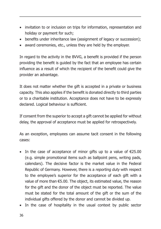- invitation to or inclusion on trips for information, representation and holiday or payment for such;
- benefits under inheritance law (assignment of legacy or succession);
- award ceremonies, etc., unless they are held by the employer.

In regard to the activity in the BVVG, a benefit is provided if the person providing the benefit is guided by the fact that an employee has certain influence as a result of which the recipient of the benefit could give the provider an advantage.

It does not matter whether the gift is accepted in a private or business capacity. This also applies if the benefit is donated directly to third parties or to a charitable institution. Acceptance does not have to be expressly declared. Logical behaviour is sufficient.

If consent from the superior to accept a gift cannot be applied for without delay, the approval of acceptance must be applied for retrospectively.

As an exception, employees can assume tacit consent in the following cases:

- In the case of acceptance of minor gifts up to a value of  $E$ 25.00 (e.g. simple promotional items such as ballpoint pens, writing pads, calendars). The decisive factor is the market value in the Federal Republic of Germany. However, there is a reporting duty with respect to the employee's superior for the acceptance of each gift with a value of more than €5.00. The object, its estimated value, the reason for the gift and the donor of the object must be reported. The value must be stated for the total amount of the gift or the sum of the individual gifts offered by the donor and cannot be divided up.
- In the case of hospitality in the usual context by public sector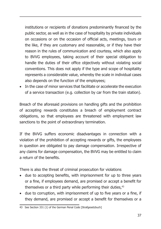institutions or recipients of donations predominantly financed by the public sector, as well as in the case of hospitality by private individuals on occasions or on the occasion of official acts, meetings, tours or the like, if they are customary and reasonable, or if they have their reason in the rules of communication and courtesy, which also apply to BVVG employees, taking account of their special obligation to handle the duties of their office objectively without violating social conventions. This does not apply if the type and scope of hospitality represents a considerable value, whereby the scale in individual cases also depends on the function of the employees;

• In the case of minor services that facilitate or accelerate the execution of a service transaction (e.g. collection by car from the train station).

Breach of the aforesaid provisions on handling gifts and the prohibition of accepting rewards constitutes a breach of employment contract obligations, so that employees are threatened with employment law sanctions to the point of extraordinary termination.

If the BVVG suffers economic disadvantages in connection with a violation of the prohibition of accepting rewards or gifts, the employees in question are obligated to pay damage compensation. Irrespective of any claims for damage compensation, the BVVG may be entitled to claim a return of the benefits.

There is also the threat of criminal prosecution for violations

- due to accepting benefits, with imprisonment for up to three years or a fine, if employees demand, are promised or accept a benefit for themselves or a third party while performing their duties, $43$
- due to corruption, with imprisonment of up to five years or a fine, if they demand, are promised or accept a benefit for themselves or a

<sup>43</sup> See Section 331 (1) of the German Penal Code [Strafgesetzbuch]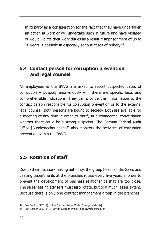third party as a consideration for the fact that they have undertaken an action at work or will undertake such in future and have violated or would violate their work duties as a result;<sup>44</sup> imprisonment of up to 10 years is possible in especially serious cases of bribery.<sup>45</sup>

#### **5.4 Contact person for corruption prevention and legal counsel**

All employees at the BVVG are asked to report suspected cases of corruption – possibly anonymously – if there are specific facts and comprehensible indications. They can provide their information to the contact person responsible for corruption prevention or to the external legal counsel. Both persons are bound to secrecy. Both are available for a meeting at any time in order to clarify in a confidential conversation whether there could be a strong suspicion. The German Federal Audit Office [Bundesrechnungshof] also monitors the activities of corruption prevention within the BVVG.

#### **5.5 Rotation of staff**

Due to their decision-making authority, the group heads of the Sales and Leasing departments at the branches rotate every five years in order to prevent the development of business relationships that are too close. The sales/leasing advisers must also rotate, but to a much lesser extent. Because there is only one contract management group in the branches,

<sup>44</sup> See Section 332 (1) of the German Penal Code [Strafgesetzbuch]

<sup>45</sup> See Section 335 (1) (1) of the German Penal Code [Strafgesetzbuch]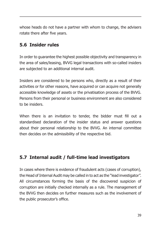whose heads do not have a partner with whom to change, the advisers rotate there after five years.

#### **5.6 Insider rules**

In order to guarantee the highest possible objectivity and transparency in the area of sales/leasing, BVVG legal transactions with so-called insiders are subjected to an additional internal audit.

Insiders are considered to be persons who, directly as a result of their activities or for other reasons, have acquired or can acquire not generally accessible knowledge of assets or the privatisation process of the BVVG. Persons from their personal or business environment are also considered to be insiders.

When there is an invitation to tender, the bidder must fill out a standardised declaration of the insider status and answer questions about their personal relationship to the BVVG. An internal committee then decides on the admissibility of the respective bid.

### **5.7 Internal audit / full-time lead investigators**

In cases where there is evidence of fraudulent acts (cases of corruption), the Head of Internal Audit may be called in to act as the "lead investigator". All circumstances forming the basis of the discovered suspicion of corruption are initially checked internally as a rule. The management of the BVVG then decides on further measures such as the involvement of the public prosecutor's office.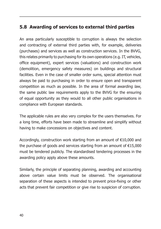### **5.8 Awarding of services to external third parties**

An area particularly susceptible to corruption is always the selection and contracting of external third parties with, for example, deliveries (purchases) and services as well as construction services. In the BVVG, this relates primarily to purchasing for its own operations (e.g. IT, vehicles, office equipment), expert services (valuations) and construction work (demolition, emergency safety measures) on buildings and structural facilities. Even in the case of smaller order sums, special attention must always be paid to purchasing in order to ensure open and transparent competition as much as possible. In the area of formal awarding law, the same public law requirements apply to the BVVG for the ensuring of equal opportunity as they would to all other public organisations in compliance with European standards.

The applicable rules are also very complex for the users themselves. For a long time, efforts have been made to streamline and simplify without having to make concessions on objectives and content.

Accordingly, construction work starting from an amount of €10,000 and the purchase of goods and services starting from an amount of  $E$ 15,000 must be tendered publicly. The standardised tendering processes in the awarding policy apply above these amounts.

Similarly, the principle of separating planning, awarding and accounting above certain value limits must be observed. The organisational separation of these aspects is intended to prevent price-fixing or other acts that prevent fair competition or give rise to suspicion of corruption.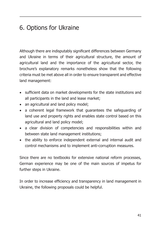# 6. Options for Ukraine

Although there are indisputably significant differences between Germany and Ukraine in terms of their agricultural structure, the amount of agricultural land and the importance of the agricultural sector, the brochure's explanatory remarks nonetheless show that the following criteria must be met above all in order to ensure transparent and effective land management:

- sufficient data on market developments for the state institutions and all participants in the land and lease market;
- an agricultural and land policy model:
- a coherent legal framework that guarantees the safeguarding of land use and property rights and enables state control based on this agricultural and land policy model;
- a clear division of competencies and responsibilities within and between state land management institutions;
- the ability to enforce independent external and internal audit and control mechanisms and to implement anti-corruption measures.

Since there are no textbooks for extensive national reform processes, German experience may be one of the main sources of impetus for further steps in Ukraine.

In order to increase efficiency and transparency in land management in Ukraine, the following proposals could be helpful.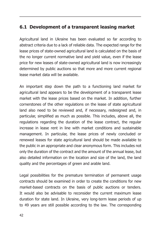#### **6.1 Development of a transparent leasing market**

Agricultural land in Ukraine has been evaluated so far according to abstract criteria due to a lack of reliable data. The expected range for the lease prices of state-owned agricultural land is calculated on the basis of the no longer current normative land and yield value, even if the lease price for new leases of state-owned agricultural land is now increasingly determined by public auctions so that more and more current regional lease market data will be available.

An important step down the path to a functioning land market for agricultural land appears to be the development of a transparent lease market with the lease prices based on the market. In addition, further cornerstones of the other regulations on the lease of state agricultural land also need to be reviewed and, if necessary, redesigned and, in particular, simplified as much as possible. This includes, above all, the regulations regarding the duration of the lease contract, the regular increase in lease rent in line with market conditions and sustainable management. In particular, the lease prices of newly concluded or renewed leases for state agricultural land should be made available to the public in an appropriate and clear anonymous form. This includes not only the duration of the contract and the amount of the annual lease, but also detailed information on the location and size of the land, the land quality and the percentages of green and arable land.

Legal possibilities for the premature termination of permanent usage contracts should be examined in order to create the conditions for new market-based contracts on the basis of public auctions or tenders. It would also be advisable to reconsider the current maximum lease duration for state land. In Ukraine, very long-term lease periods of up to 49 years are still possible according to the law. The corresponding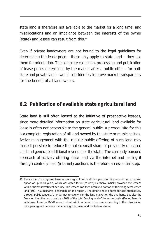state land is therefore not available to the market for a long time, and misallocations and an imbalance between the interests of the owner (state) and lessee can result from this.<sup>46</sup>

Even if private landowners are not bound to the legal guidelines for determining the lease price – these only apply to state land – they use them for orientation. The complete collection, processing and publication of lease prices determined by the market after a public offer – for both state and private land – would considerably improve market transparency for the benefit of all landowners.

#### **6.2 Publication of available state agricultural land**

State land is still often leased at the initiative of prospective lessees, since more detailed information on state agricultural land available for lease is often not accessible to the general public. A prerequisite for this is a complete registration of all land owned by the state or municipalities. Active management with the regular public offering of such land may make it possible to reduce the not so small share of previously unleased land and generate additional revenue for the state. The currently pursued approach of actively offering state land via the internet and leasing it through centrally held (internet) auctions is therefore an essential step.

<sup>46</sup> The choice of a long-term lease of state agricultural land for a period of 12 years with an extension option of up to 18 years, which was opted for in (eastern) Germany, initially provided the lessees with sufficient investment security. The lessees can then acquire a portion of their long-term leased land (100 - 450 hectares, depending on the region). The other land is offered for sale successively through public tenders. In order not to overwhelm the land market on the one hand, but also the farms on the other, no more than 20% of the total farming land of the respectively affected farms is withdrawn from the BVVG lease contract within a period of six years according to the privatisation principles agreed between the federal government and the federal states.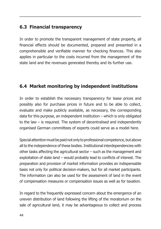### **6.3 Financial transparency**

In order to promote the transparent management of state property, all financial effects should be documented, prepared and presented in a comprehensible and verifiable manner for checking finances. This also applies in particular to the costs incurred from the management of the state land and the revenues generated thereby and its further use.

#### **6.4 Market monitoring by independent institutions**

In order to establish the necessary transparency for lease prices and possibly also for purchase prices in future and to be able to collect, evaluate and make publicly available, as necessary, the corresponding data for this purpose, an independent institution – which is only obligated to the law – is required. The system of decentralised and independently organised German committees of experts could serve as a model here.

Special attention must be paid not only to professional competence, but above all to the independence of these bodies. Institutional interdependencies with other tasks affecting the agricultural sector – such as the management and exploitation of state land – would probably lead to conflicts of interest. The preparation and provision of market information provides an indispensable basis not only for political decision-makers, but for all market participants. The information can also be used for the assessment of land in the event of compensation measures or compensation issues as well as for taxation.

In regard to the frequently expressed concern about the emergence of an uneven distribution of land following the lifting of the moratorium on the sale of agricultural land, it may be advantageous to collect and process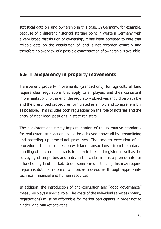statistical data on land ownership in this case. In Germany, for example, because of a different historical starting point in western Germany with a very broad distribution of ownership, it has been accepted to date that reliable data on the distribution of land is not recorded centrally and therefore no overview of a possible concentration of ownership is available.

#### **6.5 Transparency in property movements**

Transparent property movements (transactions) for agricultural land require clear regulations that apply to all players and their consistent implementation. To this end, the regulatory objectives should be plausible and the prescribed procedures formulated as simply and comprehensibly as possible. This includes both regulations on the role of notaries and the entry of clear legal positions in state registers.

The consistent and timely implementation of the normative standards for real estate transactions could be achieved above all by streamlining and speeding up procedural processes. The smooth execution of all procedural steps in connection with land transactions – from the notarial handling of purchase contracts to entry in the land register as well as the surveving of properties and entry in the cadastre  $-$  is a prerequisite for a functioning land market. Under some circumstances, this may require major institutional reforms to improve procedures through appropriate technical, financial and human resources.

In addition, the introduction of anti-corruption and "good governance" measures plays a special role. The costs of the individual services (notary, registrations) must be affordable for market participants in order not to hinder land market activities.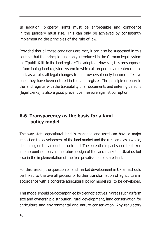In addition, property rights must be enforceable and confidence in the judiciary must rise. This can only be achieved by consistently implementing the principles of the rule of law.

Provided that all these conditions are met, it can also be suggested in this context that the principle – not only introduced in the German legal system – of "public faith in the land register" be adopted. However, this presupposes a functioning land register system in which all properties are entered once and, as a rule, all legal changes to land ownership only become effective once they have been entered in the land register. The principle of entry in the land register with the traceability of all documents and entering persons (legal clerks) is also a good preventive measure against corruption.

#### **6.6 Transparency as the basis for a land policy model**

The way state agricultural land is managed and used can have a major impact on the development of the land market and the rural area as a whole, depending on the amount of such land. The potential impact should be taken into account not only in the future design of the land market in Ukraine, but also in the implementation of the free privatisation of state land.

For this reason, the question of land market development in Ukraine should be linked to the overall process of further transformation of agriculture in accordance with a concrete agricultural policy model still to be developed.

This model should be accompanied by clear objectives in areas such as farm size and ownership distribution, rural development, land conservation for agriculture and environmental and nature conservation. Any regulatory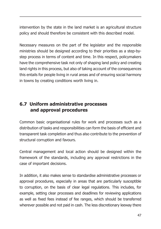intervention by the state in the land market is an agricultural structure policy and should therefore be consistent with this described model.

Necessary measures on the part of the legislator and the responsible ministries should be designed according to their priorities as a step-bystep process in terms of content and time. In this respect, policymakers have the comprehensive task not only of shaping land policy and creating land rights in this process, but also of taking account of the consequences this entails for people living in rural areas and of ensuring social harmony in towns by creating conditions worth living in.

### **6.7 Uniform administrative processes and approval procedures**

Common basic organisational rules for work and processes such as a distribution of tasks and responsibilities can form the basis of efficient and transparent task completion and thus also contribute to the prevention of structural corruption and favours.

Central management and local action should be designed within the framework of the standards, including any approval restrictions in the case of important decisions.

In addition, it also makes sense to standardise administrative processes or approval procedures, especially in areas that are particularly susceptible to corruption, on the basis of clear legal regulations. This includes, for example, setting clear processes and deadlines for reviewing applications as well as fixed fees instead of fee ranges, which should be transferred wherever possible and not paid in cash. The less discretionary leeway there